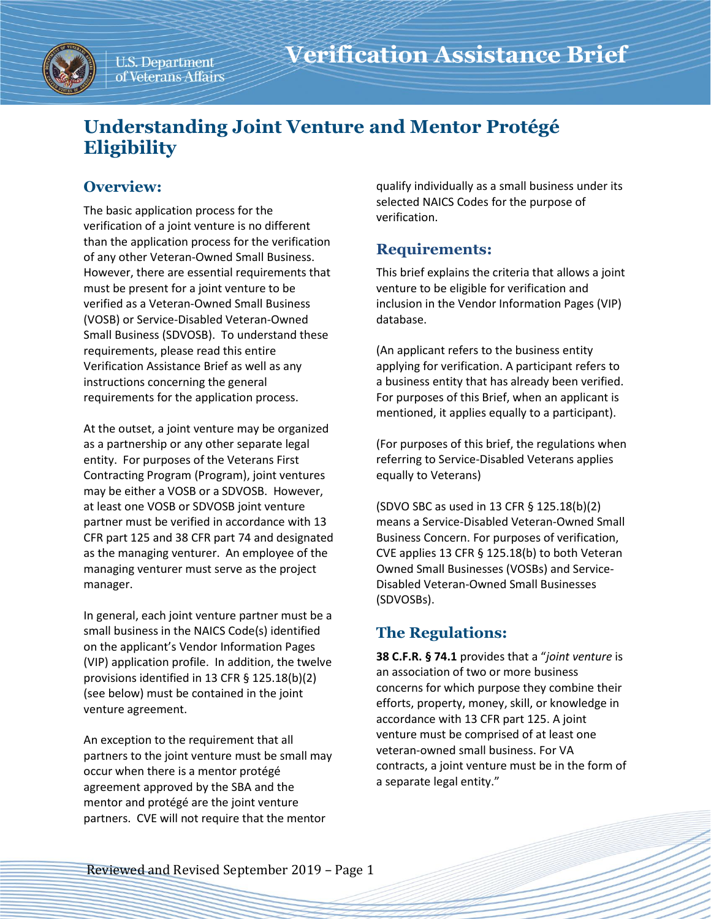

U.S. Department of Veterans Affairs

# **Understanding Joint Venture and Mentor Protégé Eligibility**

# **Overview:**

The basic application process for the verification of a joint venture is no different than the application process for the verification of any other Veteran-Owned Small Business. However, there are essential requirements that must be present for a joint venture to be verified as a Veteran-Owned Small Business (VOSB) or Service-Disabled Veteran-Owned Small Business (SDVOSB). To understand these requirements, please read this entire Verification Assistance Brief as well as any instructions concerning the general requirements for the application process.

At the outset, a joint venture may be organized as a partnership or any other separate legal entity. For purposes of the Veterans First Contracting Program (Program), joint ventures may be either a VOSB or a SDVOSB. However, at least one VOSB or SDVOSB joint venture partner must be verified in accordance with 13 CFR part 125 and 38 CFR part 74 and designated as the managing venturer. An employee of the managing venturer must serve as the project manager.

In general, each joint venture partner must be a small business in the NAICS Code(s) identified on the applicant's Vendor Information Pages (VIP) application profile. In addition, the twelve provisions identified in 13 CFR § 125.18(b)(2) (see below) must be contained in the joint venture agreement.

An exception to the requirement that all partners to the joint venture must be small may occur when there is a mentor protégé agreement approved by the SBA and the mentor and protégé are the joint venture partners. CVE will not require that the mentor

qualify individually as a small business under its selected NAICS Codes for the purpose of verification.

## **Requirements:**

This brief explains the criteria that allows a joint venture to be eligible for verification and inclusion in the Vendor Information Pages (VIP) database.

(An applicant refers to the business entity applying for verification. A participant refers to a business entity that has already been verified. For purposes of this Brief, when an applicant is mentioned, it applies equally to a participant).

(For purposes of this brief, the regulations when referring to Service-Disabled Veterans applies equally to Veterans)

(SDVO SBC as used in 13 CFR § 125.18(b)(2) means a Service-Disabled Veteran-Owned Small Business Concern. For purposes of verification, CVE applies 13 CFR § 125.18(b) to both Veteran Owned Small Businesses (VOSBs) and Service-Disabled Veteran-Owned Small Businesses (SDVOSBs).

# **The Regulations:**

**38 C.F.R. § 74.1** provides that a "*joint venture* is an association of two or more business concerns for which purpose they combine their efforts, property, money, skill, or knowledge in accordance with 13 CFR part 125. A joint venture must be comprised of at least one veteran-owned small business. For VA contracts, a joint venture must be in the form of a separate legal entity."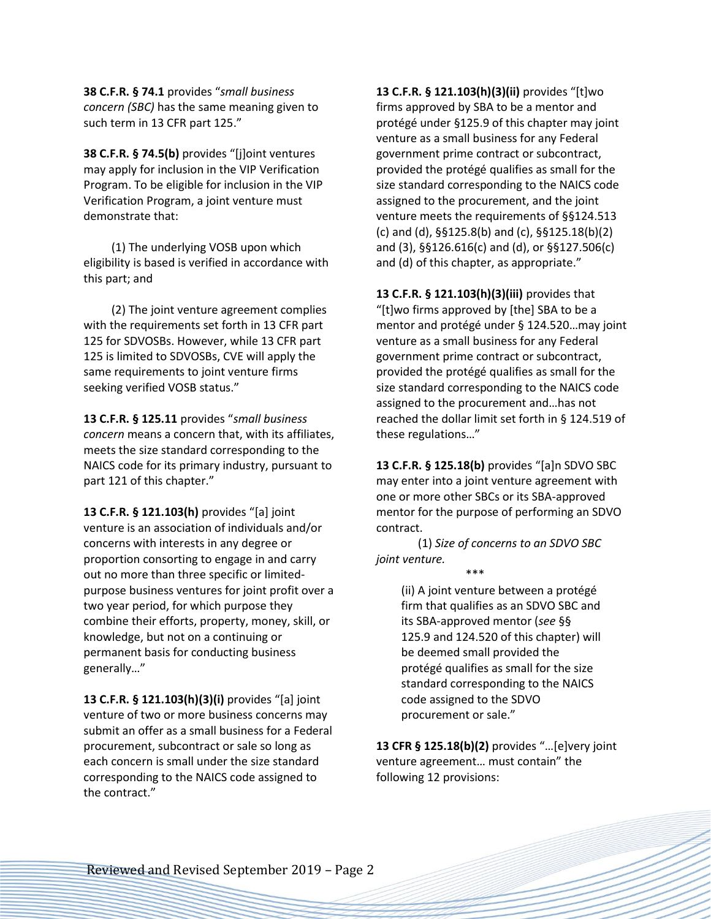**38 C.F.R. § 74.1** provides "*small business concern (SBC)* has the same meaning given to such term in 13 CFR part 125."

**38 C.F.R. § 74.5(b)** provides "[j]oint ventures may apply for inclusion in the VIP Verification Program. To be eligible for inclusion in the VIP Verification Program, a joint venture must demonstrate that:

(1) The underlying VOSB upon which eligibility is based is verified in accordance with this part; and

(2) The joint venture agreement complies with the requirements set forth in 13 CFR part 125 for SDVOSBs. However, while 13 CFR part 125 is limited to SDVOSBs, CVE will apply the same requirements to joint venture firms seeking verified VOSB status."

**13 C.F.R. § 125.11** provides "*small business concern* means a concern that, with its affiliates, meets the size standard corresponding to the NAICS code for its primary industry, pursuant to part 121 of this chapter."

**13 C.F.R. § 121.103(h)** provides "[a] joint venture is an association of individuals and/or concerns with interests in any degree or proportion consorting to engage in and carry out no more than three specific or limitedpurpose business ventures for joint profit over a two year period, for which purpose they combine their efforts, property, money, skill, or knowledge, but not on a continuing or permanent basis for conducting business generally…"

**13 C.F.R. § 121.103(h)(3)(i)** provides "[a] joint venture of two or more business concerns may submit an offer as a small business for a Federal procurement, subcontract or sale so long as each concern is small under the size standard corresponding to the NAICS code assigned to the contract."

**13 C.F.R. § 121.103(h)(3)(ii)** provides "[t]wo firms approved by SBA to be a mentor and protégé under §125.9 of this chapter may joint venture as a small business for any Federal government prime contract or subcontract, provided the protégé qualifies as small for the size standard corresponding to the NAICS code assigned to the procurement, and the joint venture meets the requirements of §§124.513 (c) and (d), §§125.8(b) and (c), §§125.18(b)(2) and (3), §§126.616(c) and (d), or §§127.506(c) and (d) of this chapter, as appropriate."

**13 C.F.R. § 121.103(h)(3)(iii)** provides that "[t]wo firms approved by [the] SBA to be a mentor and protégé under § 124.520…may joint venture as a small business for any Federal government prime contract or subcontract, provided the protégé qualifies as small for the size standard corresponding to the NAICS code assigned to the procurement and…has not reached the dollar limit set forth in § 124.519 of these regulations…"

**13 C.F.R. § 125.18(b)** provides "[a]n SDVO SBC may enter into a joint venture agreement with one or more other SBCs or its SBA-approved mentor for the purpose of performing an SDVO contract.

(1) *Size of concerns to an SDVO SBC joint venture.*

\*\*\*

(ii) A joint venture between a protégé firm that qualifies as an SDVO SBC and its SBA-approved mentor (*see* §§ 125.9 and 124.520 of this chapter) will be deemed small provided the protégé qualifies as small for the size standard corresponding to the NAICS code assigned to the SDVO procurement or sale."

**13 CFR § 125.18(b)(2)** provides "…[e]very joint venture agreement… must contain" the following 12 provisions: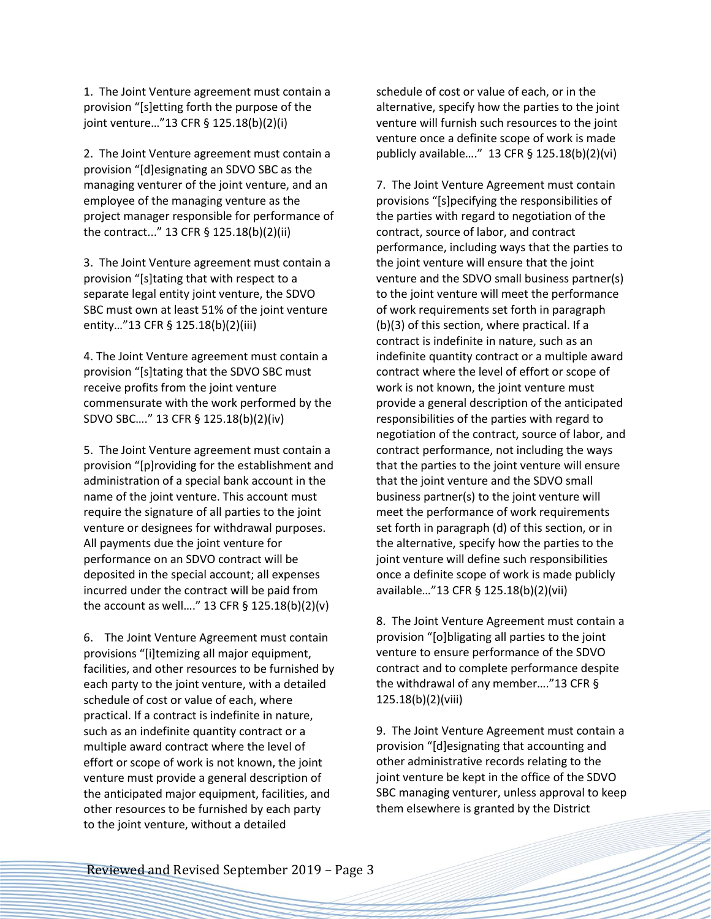1. The Joint Venture agreement must contain a provision "[s]etting forth the purpose of the joint venture…"13 CFR § 125.18(b)(2)(i)

2. The Joint Venture agreement must contain a provision "[d]esignating an SDVO SBC as the managing venturer of the joint venture, and an employee of the managing venture as the project manager responsible for performance of the contract..." 13 CFR § 125.18(b)(2)(ii)

3. The Joint Venture agreement must contain a provision "[s]tating that with respect to a separate legal entity joint venture, the SDVO SBC must own at least 51% of the joint venture entity…"13 CFR § 125.18(b)(2)(iii)

4. The Joint Venture agreement must contain a provision "[s]tating that the SDVO SBC must receive profits from the joint venture commensurate with the work performed by the SDVO SBC…." 13 CFR § 125.18(b)(2)(iv)

5. The Joint Venture agreement must contain a provision "[p]roviding for the establishment and administration of a special bank account in the name of the joint venture. This account must require the signature of all parties to the joint venture or designees for withdrawal purposes. All payments due the joint venture for performance on an SDVO contract will be deposited in the special account; all expenses incurred under the contract will be paid from the account as well…." 13 CFR § 125.18(b)(2)(v)

6. The Joint Venture Agreement must contain provisions "[i]temizing all major equipment, facilities, and other resources to be furnished by each party to the joint venture, with a detailed schedule of cost or value of each, where practical. If a contract is indefinite in nature, such as an indefinite quantity contract or a multiple award contract where the level of effort or scope of work is not known, the joint venture must provide a general description of the anticipated major equipment, facilities, and other resources to be furnished by each party to the joint venture, without a detailed

schedule of cost or value of each, or in the alternative, specify how the parties to the joint venture will furnish such resources to the joint venture once a definite scope of work is made publicly available…." 13 CFR § 125.18(b)(2)(vi)

7. The Joint Venture Agreement must contain provisions "[s]pecifying the responsibilities of the parties with regard to negotiation of the contract, source of labor, and contract performance, including ways that the parties to the joint venture will ensure that the joint venture and the SDVO small business partner(s) to the joint venture will meet the performance of work requirements set forth in paragraph (b)(3) of this section, where practical. If a contract is indefinite in nature, such as an indefinite quantity contract or a multiple award contract where the level of effort or scope of work is not known, the joint venture must provide a general description of the anticipated responsibilities of the parties with regard to negotiation of the contract, source of labor, and contract performance, not including the ways that the parties to the joint venture will ensure that the joint venture and the SDVO small business partner(s) to the joint venture will meet the performance of work requirements set forth in paragraph (d) of this section, or in the alternative, specify how the parties to the joint venture will define such responsibilities once a definite scope of work is made publicly available…"13 CFR § 125.18(b)(2)(vii)

8. The Joint Venture Agreement must contain a provision "[o]bligating all parties to the joint venture to ensure performance of the SDVO contract and to complete performance despite the withdrawal of any member…."13 CFR § 125.18(b)(2)(viii)

9. The Joint Venture Agreement must contain a provision "[d]esignating that accounting and other administrative records relating to the joint venture be kept in the office of the SDVO SBC managing venturer, unless approval to keep them elsewhere is granted by the District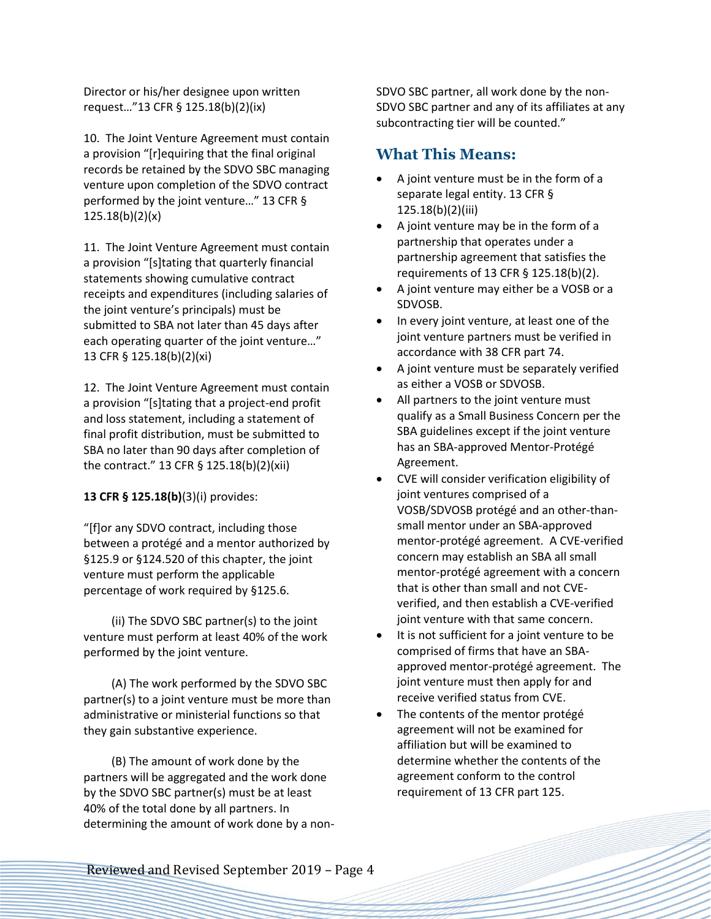Director or his/her designee upon written request…"13 CFR § 125.18(b)(2)(ix)

10. The Joint Venture Agreement must contain a provision "[r]equiring that the final original records be retained by the SDVO SBC managing venture upon completion of the SDVO contract performed by the joint venture…" 13 CFR § 125.18(b)(2)(x)

11. The Joint Venture Agreement must contain a provision "[s]tating that quarterly financial statements showing cumulative contract receipts and expenditures (including salaries of the joint venture's principals) must be submitted to SBA not later than 45 days after each operating quarter of the joint venture…" 13 CFR § 125.18(b)(2)(xi)

12. The Joint Venture Agreement must contain a provision "[s]tating that a project-end profit and loss statement, including a statement of final profit distribution, must be submitted to SBA no later than 90 days after completion of the contract." 13 CFR § 125.18(b)(2)(xii)

**13 CFR § 125.18(b)**(3)(i) provides:

"[f]or any SDVO contract, including those between a protégé and a mentor authorized by §125.9 or §124.520 of this chapter, the joint venture must perform the applicable percentage of work required by §125.6.

(ii) The SDVO SBC partner(s) to the joint venture must perform at least 40% of the work performed by the joint venture.

(A) The work performed by the SDVO SBC partner(s) to a joint venture must be more than administrative or ministerial functions so that they gain substantive experience.

(B) The amount of work done by the partners will be aggregated and the work done by the SDVO SBC partner(s) must be at least 40% of the total done by all partners. In determining the amount of work done by a nonSDVO SBC partner, all work done by the non-SDVO SBC partner and any of its affiliates at any subcontracting tier will be counted."

#### **What This Means:**

- A joint venture must be in the form of a separate legal entity. 13 CFR § 125.18(b)(2)(iii)
- A joint venture may be in the form of a partnership that operates under a partnership agreement that satisfies the requirements of 13 CFR § 125.18(b)(2).
- A joint venture may either be a VOSB or a SDVOSB.
- In every joint venture, at least one of the joint venture partners must be verified in accordance with 38 CFR part 74.
- A joint venture must be separately verified as either a VOSB or SDVOSB.
- All partners to the joint venture must qualify as a Small Business Concern per the SBA guidelines except if the joint venture has an SBA*-*approved Mentor-Protégé Agreement.
- CVE will consider verification eligibility of joint ventures comprised of a VOSB/SDVOSB protégé and an other-thansmall mentor under an SBA-approved mentor-protégé agreement. A CVE-verified concern may establish an SBA all small mentor-protégé agreement with a concern that is other than small and not CVEverified, and then establish a CVE-verified joint venture with that same concern.
- It is not sufficient for a joint venture to be comprised of firms that have an SBAapproved mentor-protégé agreement. The joint venture must then apply for and receive verified status from CVE.
- The contents of the mentor protégé agreement will not be examined for affiliation but will be examined to determine whether the contents of the agreement conform to the control requirement of 13 CFR part 125.

Reviewed and Revised September 2019 – Page 4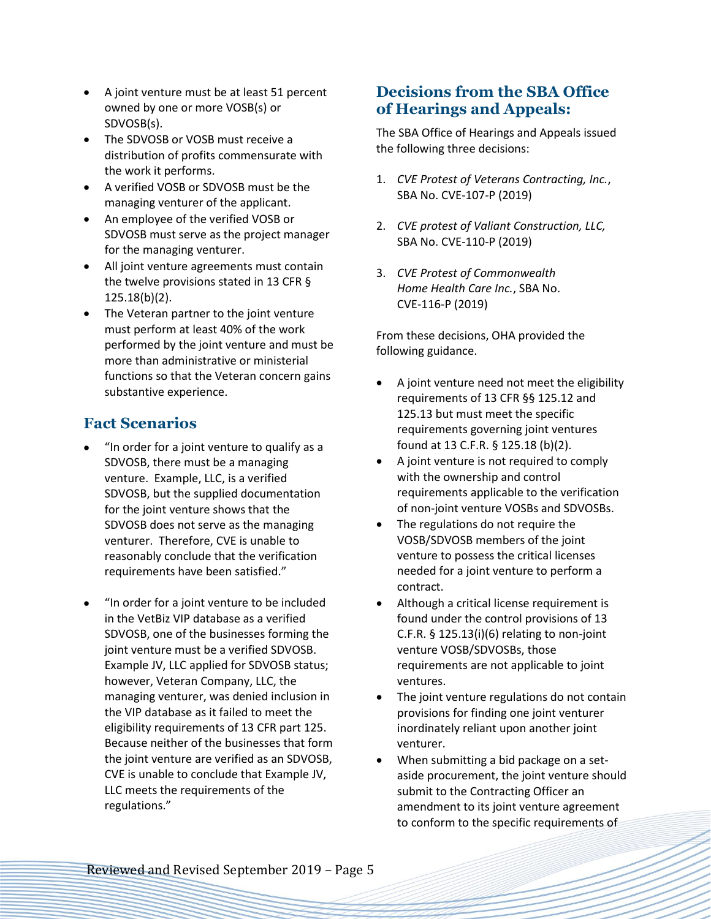- A joint venture must be at least 51 percent owned by one or more VOSB(s) or SDVOSB(s).
- The SDVOSB or VOSB must receive a distribution of profits commensurate with the work it performs.
- A verified VOSB or SDVOSB must be the managing venturer of the applicant.
- An employee of the verified VOSB or SDVOSB must serve as the project manager for the managing venturer.
- All joint venture agreements must contain the twelve provisions stated in 13 CFR § 125.18(b)(2).
- The Veteran partner to the joint venture must perform at least 40% of the work performed by the joint venture and must be more than administrative or ministerial functions so that the Veteran concern gains substantive experience.

### **Fact Scenarios**

- "In order for a joint venture to qualify as a SDVOSB, there must be a managing venture. Example, LLC, is a verified SDVOSB, but the supplied documentation for the joint venture shows that the SDVOSB does not serve as the managing venturer. Therefore, CVE is unable to reasonably conclude that the verification requirements have been satisfied."
- "In order for a joint venture to be included in the VetBiz VIP database as a verified SDVOSB, one of the businesses forming the joint venture must be a verified SDVOSB. Example JV, LLC applied for SDVOSB status; however, Veteran Company, LLC, the managing venturer, was denied inclusion in the VIP database as it failed to meet the eligibility requirements of 13 CFR part 125. Because neither of the businesses that form the joint venture are verified as an SDVOSB, CVE is unable to conclude that Example JV, LLC meets the requirements of the regulations."

## **Decisions from the SBA Office of Hearings and Appeals:**

The SBA Office of Hearings and Appeals issued the following three decisions:

- 1. *CVE Protest of Veterans Contracting, Inc.*, SBA No. CVE-107-P (2019)
- 2. *CVE protest of Valiant Construction, LLC,*  SBA No. CVE-110-P (2019)
- 3. *CVE Protest of Commonwealth Home Health Care Inc.*, SBA No. CVE-116-P (2019)

From these decisions, OHA provided the following guidance.

- A joint venture need not meet the eligibility requirements of 13 CFR §§ 125.12 and 125.13 but must meet the specific requirements governing joint ventures found at 13 C.F.R. § 125.18 (b)(2).
- A joint venture is not required to comply with the ownership and control requirements applicable to the verification of non-joint venture VOSBs and SDVOSBs.
- The regulations do not require the VOSB/SDVOSB members of the joint venture to possess the critical licenses needed for a joint venture to perform a contract.
- Although a critical license requirement is found under the control provisions of 13 C.F.R. § 125.13(i)(6) relating to non-joint venture VOSB/SDVOSBs, those requirements are not applicable to joint ventures.
- The joint venture regulations do not contain provisions for finding one joint venturer inordinately reliant upon another joint venturer.
- When submitting a bid package on a setaside procurement, the joint venture should submit to the Contracting Officer an amendment to its joint venture agreement to conform to the specific requirements of